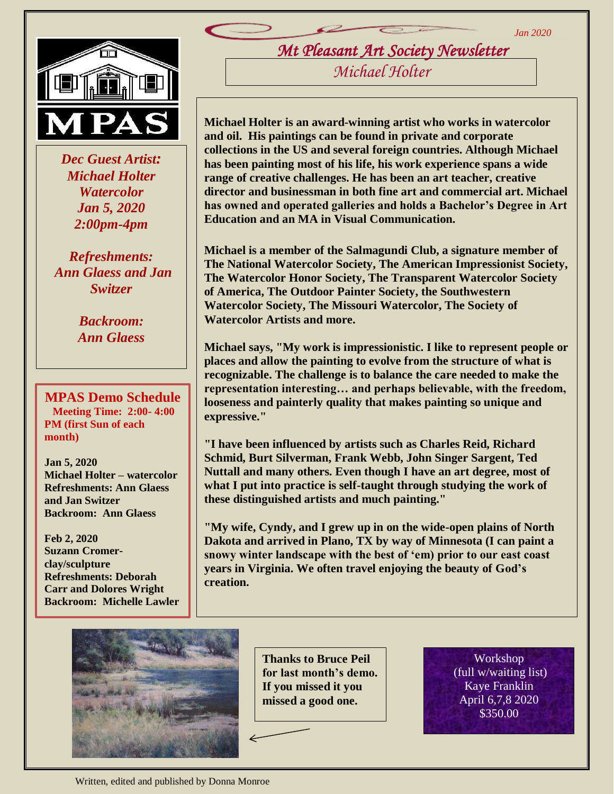*Jan 2020*



 *Dec Guest Artist: Michael Holter Watercolor Jan 5, 2020 2:00pm-4pm*

*Refreshments: Ann Glaess and Jan Switzer*

> *Backroom: Ann Glaess*

**MPAS Demo Schedule Meeting Time: 2:00- 4:00 PM (first Sun of each month)**

**Jan 5, 2020 Michael Holter – watercolor Refreshments: Ann Glaess and Jan Switzer Backroom: Ann Glaess**

**Feb 2, 2020 Suzann Cromerclay/sculpture Refreshments: Deborah Carr and Dolores Wright Backroom: Michelle Lawler** *Mt Pleasant Art Society Newsletter Michael Holter* 

**Michael Holter is an award-winning artist who works in watercolor and oil. His paintings can be found in private and corporate collections in the US and several foreign countries. Although Michael has been painting most of his life, his work experience spans a wide range of creative challenges. He has been an art teacher, creative director and businessman in both fine art and commercial art. Michael has owned and operated galleries and holds a Bachelor's Degree in Art Education and an MA in Visual Communication.**

**Michael is a member of the Salmagundi Club, a signature member of The National Watercolor Society, The American Impressionist Society, The Watercolor Honor Society, The Transparent Watercolor Society of America, The Outdoor Painter Society, the Southwestern Watercolor Society, The Missouri Watercolor, The Society of Watercolor Artists and more.**

**Michael says, "My work is impressionistic. I like to represent people or places and allow the painting to evolve from the structure of what is recognizable. The challenge is to balance the care needed to make the representation interesting… and perhaps believable, with the freedom, looseness and painterly quality that makes painting so unique and expressive."**

**"I have been influenced by artists such as Charles Reid, Richard Schmid, Burt Silverman, Frank Webb, John Singer Sargent, Ted Nuttall and many others. Even though I have an art degree, most of what I put into practice is self-taught through studying the work of these distinguished artists and much painting."**

**"My wife, Cyndy, and I grew up in on the wide-open plains of North Dakota and arrived in Plano, TX by way of Minnesota (I can paint a snowy winter landscape with the best of 'em) prior to our east coast years in Virginia. We often travel enjoying the beauty of God's creation.**



**Thanks to Bruce Peil for last month's demo. If you missed it you missed a good one.** 

Workshop (full w/waiting list) Kaye Franklin April 6,7,8 2020 \$350.00